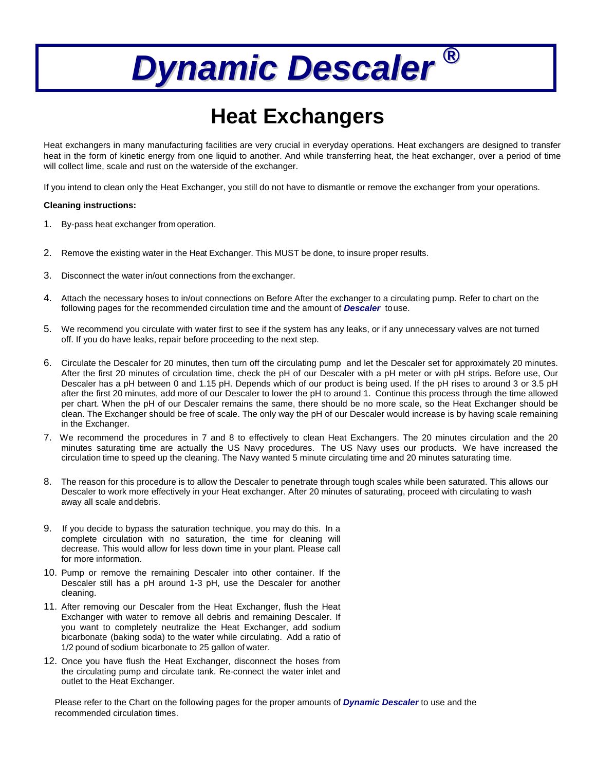## *Dynamic Descaler* **®**

## **Heat Exchangers**

Heat exchangers in many manufacturing facilities are very crucial in everyday operations. Heat exchangers are designed to transfer heat in the form of kinetic energy from one liquid to another. And while transferring heat, the heat exchanger, over a period of time will collect lime, scale and rust on the waterside of the exchanger.

If you intend to clean only the Heat Exchanger, you still do not have to dismantle or remove the exchanger from your operations.

## **Cleaning instructions:**

- 1. By-pass heat exchanger from operation.
- 2. Remove the existing water in the Heat Exchanger. This MUST be done, to insure proper results.
- 3. Disconnect the water in/out connections from the exchanger.
- 4. Attach the necessary hoses to in/out connections on Before After the exchanger to a circulating pump. Refer to chart on the following pages for the recommended circulation time and the amount of *Descaler* touse.
- 5. We recommend you circulate with water first to see if the system has any leaks, or if any unnecessary valves are not turned off. If you do have leaks, repair before proceeding to the next step.
- 6. Circulate the Descaler for 20 minutes, then turn off the circulating pump and let the Descaler set for approximately 20 minutes. After the first 20 minutes of circulation time, check the pH of our Descaler with a pH meter or with pH strips. Before use, Our Descaler has a pH between 0 and 1.15 pH. Depends which of our product is being used. If the pH rises to around 3 or 3.5 pH after the first 20 minutes, add more of our Descaler to lower the pH to around 1. Continue this process through the time allowed per chart. When the pH of our Descaler remains the same, there should be no more scale, so the Heat Exchanger should be clean. The Exchanger should be free of scale. The only way the pH of our Descaler would increase is by having scale remaining in the Exchanger.
- 7. We recommend the procedures in 7 and 8 to effectively to clean Heat Exchangers. The 20 minutes circulation and the 20 minutes saturating time are actually the US Navy procedures. The US Navy uses our products. We have increased the circulation time to speed up the cleaning. The Navy wanted 5 minute circulating time and 20 minutes saturating time.
- 8. The reason for this procedure is to allow the Descaler to penetrate through tough scales while been saturated. This allows our Descaler to work more effectively in your Heat exchanger. After 20 minutes of saturating, proceed with circulating to wash away all scale and debris.
- 9. If you decide to bypass the saturation technique, you may do this. In a complete circulation with no saturation, the time for cleaning will decrease. This would allow for less down time in your plant. Please call for more information.
- 10. Pump or remove the remaining Descaler into other container. If the Descaler still has a pH around 1-3 pH, use the Descaler for another cleaning.
- 11. After removing our Descaler from the Heat Exchanger, flush the Heat Exchanger with water to remove all debris and remaining Descaler. If you want to completely neutralize the Heat Exchanger, add sodium bicarbonate (baking soda) to the water while circulating. Add a ratio of 1/2 pound of sodium bicarbonate to 25 gallon of water.
- 12. Once you have flush the Heat Exchanger, disconnect the hoses from the circulating pump and circulate tank. Re-connect the water inlet and outlet to the Heat Exchanger.

Please refer to the Chart on the following pages for the proper amounts of *Dynamic Descaler* to use and the recommended circulation times.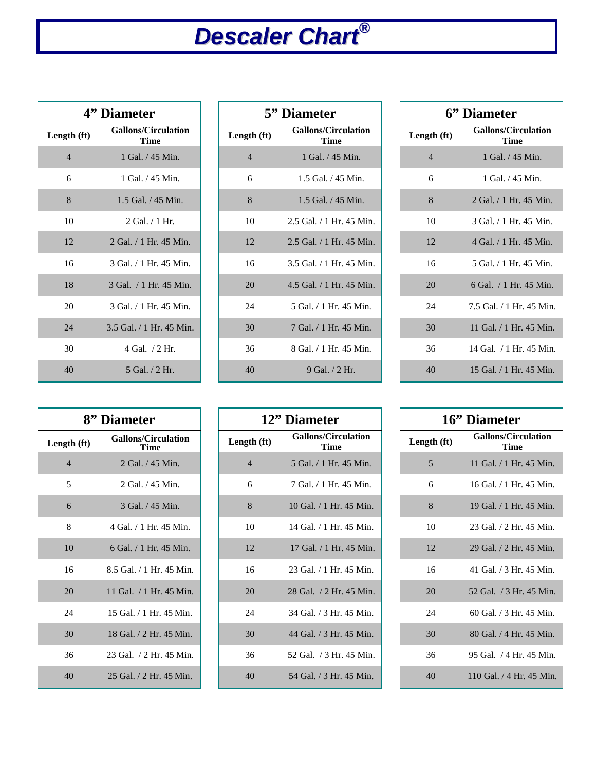## *Descaler Chart* **®**

| 4" Diameter    |                                           |  |
|----------------|-------------------------------------------|--|
| Length (ft)    | <b>Gallons/Circulation</b><br><b>Time</b> |  |
| $\overline{4}$ | 1 Gal. / 45 Min.                          |  |
| 6              | 1 Gal. / 45 Min.                          |  |
| 8              | $1.5$ Gal. $/45$ Min.                     |  |
| 10             | $2$ Gal. $/1$ Hr.                         |  |
| 12             | 2 Gal. / 1 Hr. 45 Min.                    |  |
| 16             | 3 Gal. / 1 Hr. 45 Min.                    |  |
| 18             | 3 Gal. / 1 Hr. 45 Min.                    |  |
| 20             | 3 Gal. / 1 Hr. 45 Min.                    |  |
| 24             | 3.5 Gal. / 1 Hr. 45 Min.                  |  |
| 30             | 4 Gal. / 2 Hr.                            |  |
| 40             | 5 Gal. / 2 Hr.                            |  |

| 5" Diameter              |                                    |  |
|--------------------------|------------------------------------|--|
| Length (ft)              | <b>Gallons/Circulation</b><br>Time |  |
| $\overline{\mathcal{A}}$ | 1 Gal. $/45$ Min.                  |  |
| 6                        | $1.5$ Gal. $/45$ Min.              |  |
| 8                        | $1.5$ Gal. $/45$ Min.              |  |
| 10                       | 2.5 Gal. / 1 Hr. 45 Min.           |  |
| 12                       | 2.5 Gal. / 1 Hr. 45 Min.           |  |
| 16                       | 3.5 Gal. / 1 Hr. 45 Min.           |  |
| 20                       | 4.5 Gal. / 1 Hr. 45 Min.           |  |
| 24                       | 5 Gal. / 1 Hr. 45 Min.             |  |
| 30                       | 7 Gal. / 1 Hr. 45 Min.             |  |
| 36                       | 8 Gal. / 1 Hr. 45 Min.             |  |
| 40                       | 9 Gal. / 2 Hr.                     |  |

| 6" Diameter    |                                           |  |
|----------------|-------------------------------------------|--|
| Length (ft)    | <b>Gallons/Circulation</b><br><b>Time</b> |  |
| $\overline{4}$ | 1 Gal. / 45 Min.                          |  |
| 6              | 1 Gal. / 45 Min.                          |  |
| 8              | 2 Gal. / 1 Hr. 45 Min.                    |  |
| 10             | 3 Gal. / 1 Hr. 45 Min.                    |  |
| 12             | 4 Gal. / 1 Hr. 45 Min.                    |  |
| 16             | 5 Gal. / 1 Hr. 45 Min.                    |  |
| 20             | 6 Gal. / 1 Hr. 45 Min.                    |  |
| 24             | 7.5 Gal. / 1 Hr. 45 Min.                  |  |
| 30             | 11 Gal. / 1 Hr. 45 Min.                   |  |
| 36             | 14 Gal. / 1 Hr. 45 Min.                   |  |
| 40             | 15 Gal. / 1 Hr. 45 Min.                   |  |

| 8" Diameter    |                                    |  |
|----------------|------------------------------------|--|
| Length (ft)    | <b>Gallons/Circulation</b><br>Time |  |
| $\overline{4}$ | 2 Gal. / 45 Min.                   |  |
| 5              | 2 Gal. / 45 Min.                   |  |
| 6              | 3 Gal. / 45 Min.                   |  |
| 8              | 4 Gal. / 1 Hr. 45 Min.             |  |
| 10             | $6$ Gal. $/1$ Hr. 45 Min.          |  |
| 16             | 8.5 Gal. / 1 Hr. 45 Min.           |  |
| 20             | 11 Gal. / 1 Hr. 45 Min.            |  |
| 24             | 15 Gal. / 1 Hr. 45 Min.            |  |
| 30             | 18 Gal. / 2 Hr. 45 Min.            |  |
| 36             | 23 Gal. / 2 Hr. 45 Min.            |  |
| 40             | 25 Gal. / 2 Hr. 45 Min.            |  |

| 12" Diameter   |                                    |  |
|----------------|------------------------------------|--|
| Length (ft)    | <b>Gallons/Circulation</b><br>Time |  |
| $\overline{4}$ | 5 Gal. / 1 Hr. 45 Min.             |  |
| 6              | 7 Gal. / 1 Hr. 45 Min.             |  |
| 8              | 10 Gal. / 1 Hr. 45 Min.            |  |
| 10             | 14 Gal. / 1 Hr. 45 Min.            |  |
| 12             | 17 Gal. / 1 Hr. 45 Min.            |  |
| 16             | 23 Gal. / 1 Hr. 45 Min.            |  |
| 20             | 28 Gal. / 2 Hr. 45 Min.            |  |
| 24             | 34 Gal. / 3 Hr. 45 Min.            |  |
| 30             | 44 Gal. / 3 Hr. 45 Min.            |  |
| 36             | 52 Gal. / 3 Hr. 45 Min.            |  |
| 40             | 54 Gal. / 3 Hr. 45 Min.            |  |

| 16" Diameter |                                    |  |
|--------------|------------------------------------|--|
| Length (ft)  | <b>Gallons/Circulation</b><br>Time |  |
| 5            | 11 Gal. / 1 Hr. 45 Min.            |  |
| 6            | 16 Gal. / 1 Hr. 45 Min.            |  |
| 8            | 19 Gal. / 1 Hr. 45 Min.            |  |
| 10           | 23 Gal. / 2 Hr. 45 Min.            |  |
| 12           | 29 Gal. / 2 Hr. 45 Min.            |  |
| 16           | 41 Gal. / 3 Hr. 45 Min.            |  |
| 20           | 52 Gal. / 3 Hr. 45 Min.            |  |
| 24           | 60 Gal. / 3 Hr. 45 Min.            |  |
| 30           | 80 Gal. / 4 Hr. 45 Min.            |  |
| 36           | 95 Gal. / 4 Hr. 45 Min.            |  |
| 40           | 110 Gal. / 4 Hr. 45 Min.           |  |